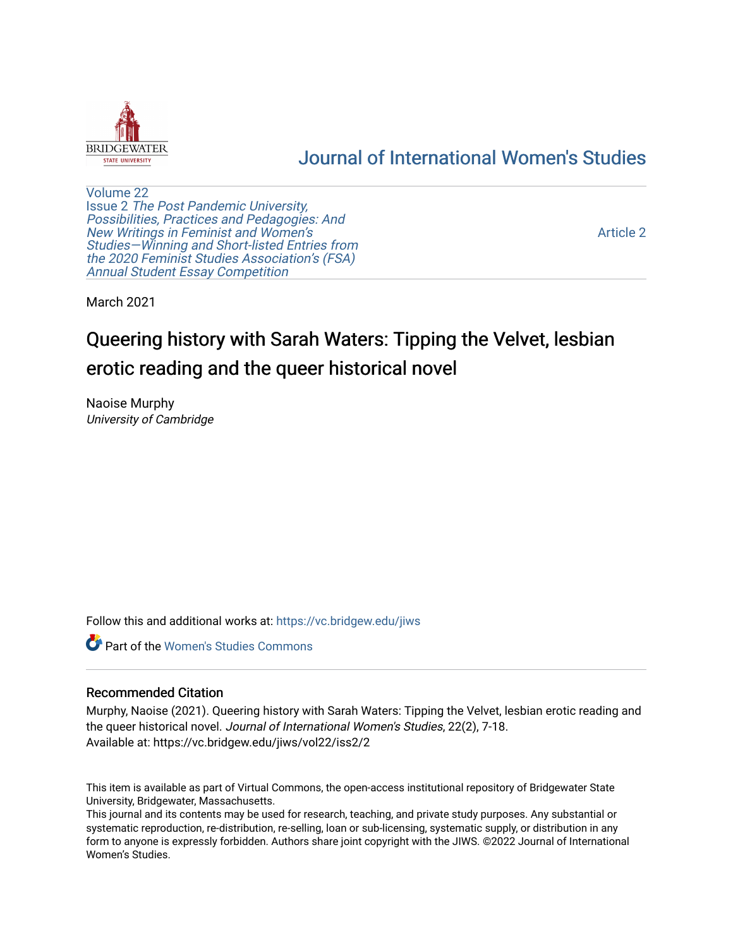

# [Journal of International Women's Studies](https://vc.bridgew.edu/jiws)

[Volume 22](https://vc.bridgew.edu/jiws/vol22) Issue 2 [The Post Pandemic University,](https://vc.bridgew.edu/jiws/vol22/iss2) Possibilities, Practices and Pedagogies: And [New Writings in Feminist and Women's](https://vc.bridgew.edu/jiws/vol22/iss2) [Studies—Winning and Short-listed Entries from](https://vc.bridgew.edu/jiws/vol22/iss2) [the 2020 Feminist Studies Association's \(FSA\)](https://vc.bridgew.edu/jiws/vol22/iss2) [Annual Student Essay Competition](https://vc.bridgew.edu/jiws/vol22/iss2) 

[Article 2](https://vc.bridgew.edu/jiws/vol22/iss2/2) 

March 2021

# Queering history with Sarah Waters: Tipping the Velvet, lesbian erotic reading and the queer historical novel

Naoise Murphy University of Cambridge

Follow this and additional works at: [https://vc.bridgew.edu/jiws](https://vc.bridgew.edu/jiws?utm_source=vc.bridgew.edu%2Fjiws%2Fvol22%2Fiss2%2F2&utm_medium=PDF&utm_campaign=PDFCoverPages)

**C** Part of the Women's Studies Commons

#### Recommended Citation

Murphy, Naoise (2021). Queering history with Sarah Waters: Tipping the Velvet, lesbian erotic reading and the queer historical novel. Journal of International Women's Studies, 22(2), 7-18. Available at: https://vc.bridgew.edu/jiws/vol22/iss2/2

This item is available as part of Virtual Commons, the open-access institutional repository of Bridgewater State University, Bridgewater, Massachusetts.

This journal and its contents may be used for research, teaching, and private study purposes. Any substantial or systematic reproduction, re-distribution, re-selling, loan or sub-licensing, systematic supply, or distribution in any form to anyone is expressly forbidden. Authors share joint copyright with the JIWS. ©2022 Journal of International Women's Studies.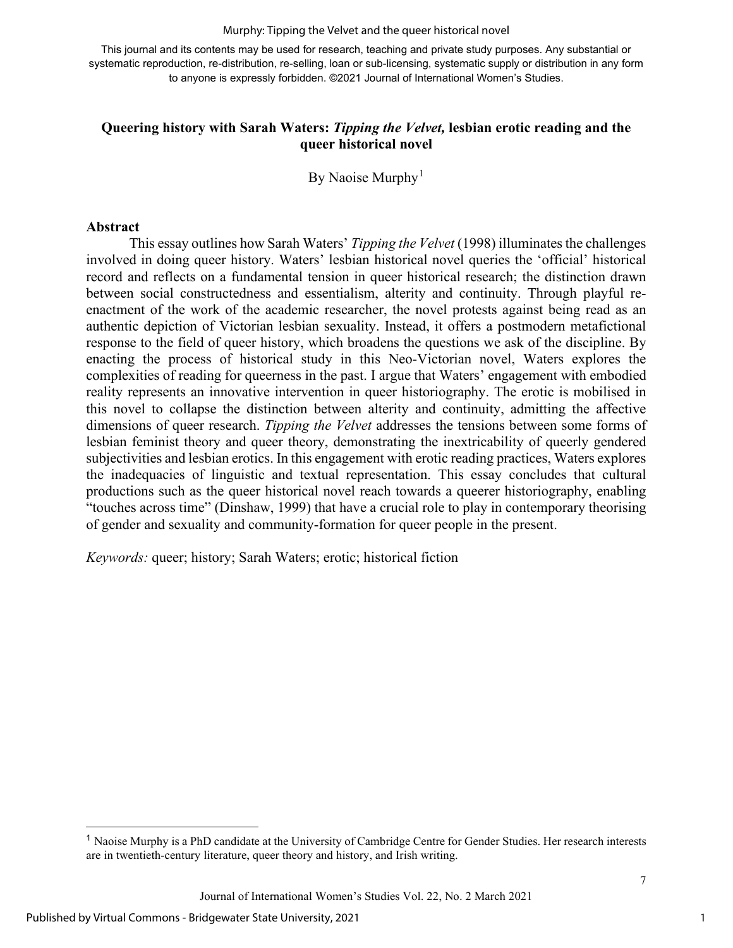Murphy: Tipping the Velvet and the queer historical novel

This journal and its contents may be used for research, teaching and private study purposes. Any substantial or systematic reproduction, re-distribution, re-selling, loan or sub-licensing, systematic supply or distribution in any form to anyone is expressly forbidden. ©2021 Journal of International Women's Studies.

# **Queering history with Sarah Waters:** *Tipping the Velvet,* **lesbian erotic reading and the queer historical novel**

By Naoise Murphy<sup>[1](#page-1-0)</sup>

#### **Abstract**

This essay outlines how Sarah Waters' *Tipping the Velvet* (1998) illuminates the challenges involved in doing queer history. Waters' lesbian historical novel queries the 'official' historical record and reflects on a fundamental tension in queer historical research; the distinction drawn between social constructedness and essentialism, alterity and continuity. Through playful reenactment of the work of the academic researcher, the novel protests against being read as an authentic depiction of Victorian lesbian sexuality. Instead, it offers a postmodern metafictional response to the field of queer history, which broadens the questions we ask of the discipline. By enacting the process of historical study in this Neo-Victorian novel, Waters explores the complexities of reading for queerness in the past. I argue that Waters' engagement with embodied reality represents an innovative intervention in queer historiography. The erotic is mobilised in this novel to collapse the distinction between alterity and continuity, admitting the affective dimensions of queer research. *Tipping the Velvet* addresses the tensions between some forms of lesbian feminist theory and queer theory, demonstrating the inextricability of queerly gendered subjectivities and lesbian erotics. In this engagement with erotic reading practices, Waters explores the inadequacies of linguistic and textual representation. This essay concludes that cultural productions such as the queer historical novel reach towards a queerer historiography, enabling "touches across time" (Dinshaw, 1999) that have a crucial role to play in contemporary theorising of gender and sexuality and community-formation for queer people in the present.

*Keywords:* queer; history; Sarah Waters; erotic; historical fiction

1

<span id="page-1-0"></span><sup>&</sup>lt;sup>1</sup> Naoise Murphy is a PhD candidate at the University of Cambridge Centre for Gender Studies. Her research interests are in twentieth-century literature, queer theory and history, and Irish writing.

Journal of International Women's Studies Vol. 22, No. 2 March 2021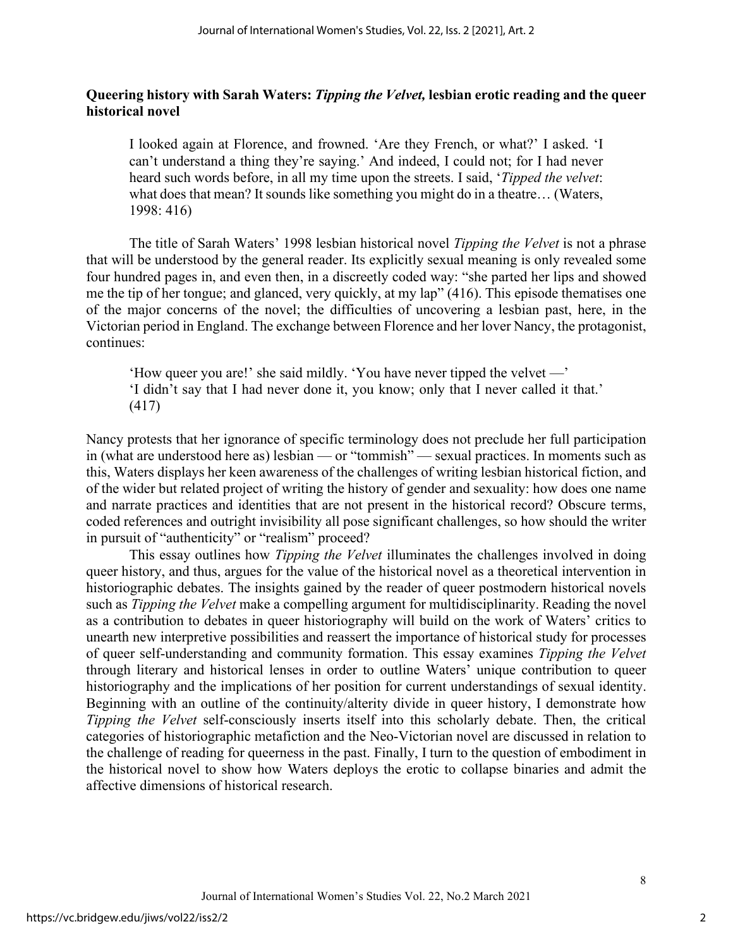#### **Queering history with Sarah Waters:** *Tipping the Velvet,* **lesbian erotic reading and the queer historical novel**

I looked again at Florence, and frowned. 'Are they French, or what?' I asked. 'I can't understand a thing they're saying.' And indeed, I could not; for I had never heard such words before, in all my time upon the streets. I said, '*Tipped the velvet*: what does that mean? It sounds like something you might do in a theatre... (Waters, 1998: 416)

The title of Sarah Waters' 1998 lesbian historical novel *Tipping the Velvet* is not a phrase that will be understood by the general reader. Its explicitly sexual meaning is only revealed some four hundred pages in, and even then, in a discreetly coded way: "she parted her lips and showed me the tip of her tongue; and glanced, very quickly, at my lap" (416). This episode thematises one of the major concerns of the novel; the difficulties of uncovering a lesbian past, here, in the Victorian period in England. The exchange between Florence and her lover Nancy, the protagonist, continues:

'How queer you are!' she said mildly. 'You have never tipped the velvet —' 'I didn't say that I had never done it, you know; only that I never called it that.' (417)

Nancy protests that her ignorance of specific terminology does not preclude her full participation in (what are understood here as) lesbian — or "tommish" — sexual practices. In moments such as this, Waters displays her keen awareness of the challenges of writing lesbian historical fiction, and of the wider but related project of writing the history of gender and sexuality: how does one name and narrate practices and identities that are not present in the historical record? Obscure terms, coded references and outright invisibility all pose significant challenges, so how should the writer in pursuit of "authenticity" or "realism" proceed?

This essay outlines how *Tipping the Velvet* illuminates the challenges involved in doing queer history, and thus, argues for the value of the historical novel as a theoretical intervention in historiographic debates. The insights gained by the reader of queer postmodern historical novels such as *Tipping the Velvet* make a compelling argument for multidisciplinarity. Reading the novel as a contribution to debates in queer historiography will build on the work of Waters' critics to unearth new interpretive possibilities and reassert the importance of historical study for processes of queer self-understanding and community formation. This essay examines *Tipping the Velvet*  through literary and historical lenses in order to outline Waters' unique contribution to queer historiography and the implications of her position for current understandings of sexual identity. Beginning with an outline of the continuity/alterity divide in queer history, I demonstrate how *Tipping the Velvet* self-consciously inserts itself into this scholarly debate. Then, the critical categories of historiographic metafiction and the Neo-Victorian novel are discussed in relation to the challenge of reading for queerness in the past. Finally, I turn to the question of embodiment in the historical novel to show how Waters deploys the erotic to collapse binaries and admit the affective dimensions of historical research.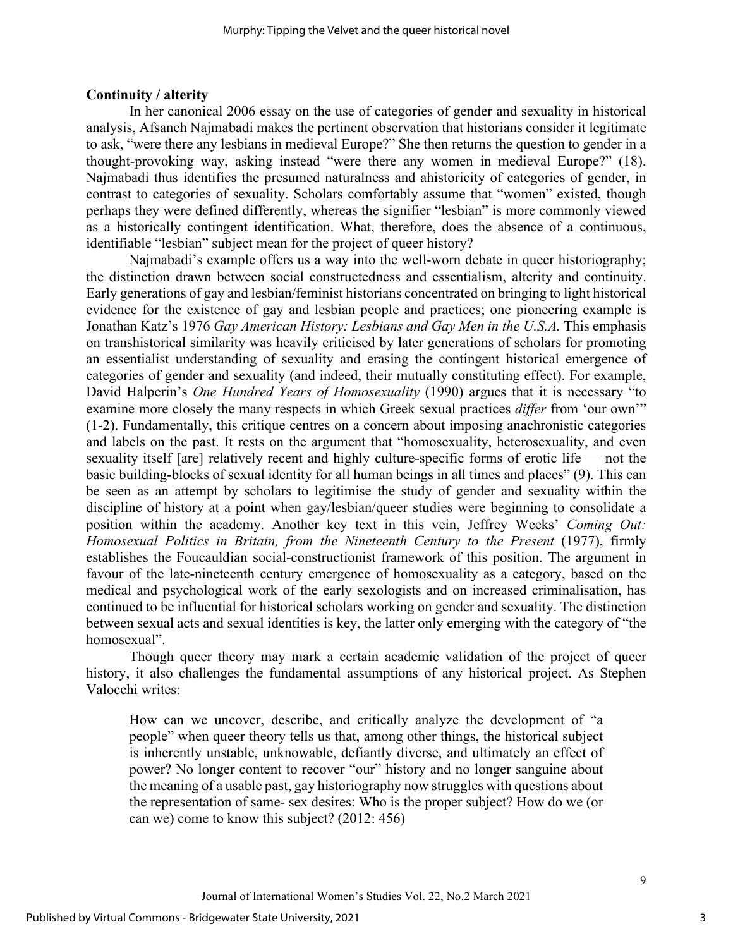#### **Continuity / alterity**

In her canonical 2006 essay on the use of categories of gender and sexuality in historical analysis, Afsaneh Najmabadi makes the pertinent observation that historians consider it legitimate to ask, "were there any lesbians in medieval Europe?" She then returns the question to gender in a thought-provoking way, asking instead "were there any women in medieval Europe?" (18). Najmabadi thus identifies the presumed naturalness and ahistoricity of categories of gender, in contrast to categories of sexuality. Scholars comfortably assume that "women" existed, though perhaps they were defined differently, whereas the signifier "lesbian" is more commonly viewed as a historically contingent identification. What, therefore, does the absence of a continuous, identifiable "lesbian" subject mean for the project of queer history?

Najmabadi's example offers us a way into the well-worn debate in queer historiography; the distinction drawn between social constructedness and essentialism, alterity and continuity. Early generations of gay and lesbian/feminist historians concentrated on bringing to light historical evidence for the existence of gay and lesbian people and practices; one pioneering example is Jonathan Katz's 1976 *Gay American History: Lesbians and Gay Men in the U.S.A.* This emphasis on transhistorical similarity was heavily criticised by later generations of scholars for promoting an essentialist understanding of sexuality and erasing the contingent historical emergence of categories of gender and sexuality (and indeed, their mutually constituting effect). For example, David Halperin's *One Hundred Years of Homosexuality* (1990) argues that it is necessary "to examine more closely the many respects in which Greek sexual practices *differ* from 'our own'" (1-2). Fundamentally, this critique centres on a concern about imposing anachronistic categories and labels on the past. It rests on the argument that "homosexuality, heterosexuality, and even sexuality itself [are] relatively recent and highly culture-specific forms of erotic life — not the basic building-blocks of sexual identity for all human beings in all times and places" (9). This can be seen as an attempt by scholars to legitimise the study of gender and sexuality within the discipline of history at a point when gay/lesbian/queer studies were beginning to consolidate a position within the academy. Another key text in this vein, Jeffrey Weeks' *Coming Out: Homosexual Politics in Britain, from the Nineteenth Century to the Present* (1977), firmly establishes the Foucauldian social-constructionist framework of this position. The argument in favour of the late-nineteenth century emergence of homosexuality as a category, based on the medical and psychological work of the early sexologists and on increased criminalisation, has continued to be influential for historical scholars working on gender and sexuality. The distinction between sexual acts and sexual identities is key, the latter only emerging with the category of "the homosexual".

Though queer theory may mark a certain academic validation of the project of queer history, it also challenges the fundamental assumptions of any historical project. As Stephen Valocchi writes:

How can we uncover, describe, and critically analyze the development of "a people" when queer theory tells us that, among other things, the historical subject is inherently unstable, unknowable, defiantly diverse, and ultimately an effect of power? No longer content to recover "our" history and no longer sanguine about the meaning of a usable past, gay historiography now struggles with questions about the representation of same- sex desires: Who is the proper subject? How do we (or can we) come to know this subject? (2012: 456)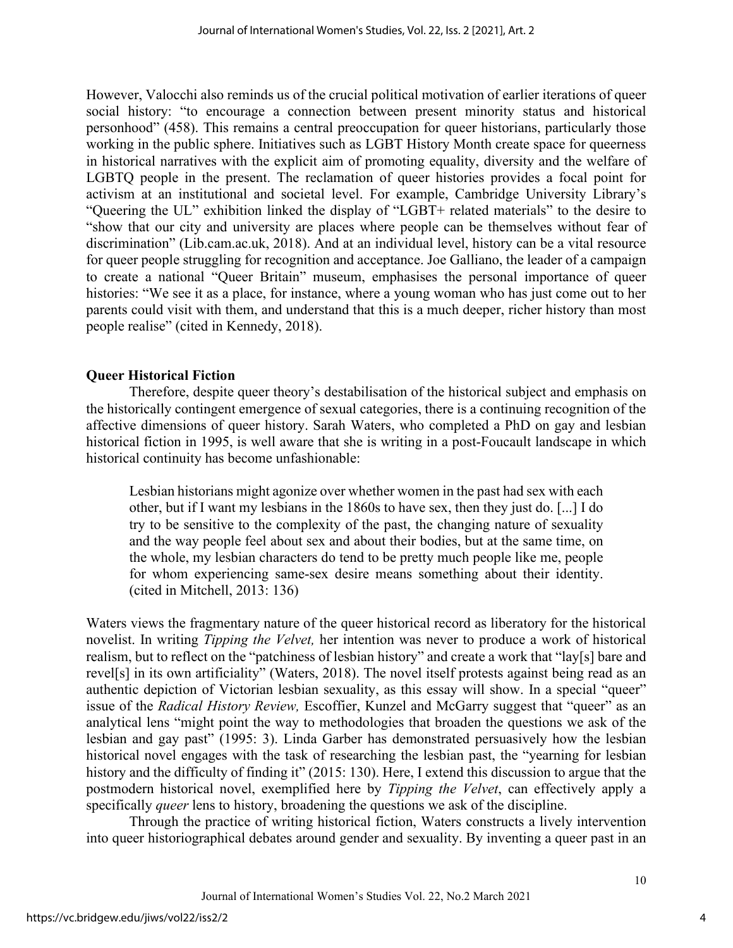However, Valocchi also reminds us of the crucial political motivation of earlier iterations of queer social history: "to encourage a connection between present minority status and historical personhood" (458). This remains a central preoccupation for queer historians, particularly those working in the public sphere. Initiatives such as LGBT History Month create space for queerness in historical narratives with the explicit aim of promoting equality, diversity and the welfare of LGBTQ people in the present. The reclamation of queer histories provides a focal point for activism at an institutional and societal level. For example, Cambridge University Library's "Queering the UL" exhibition linked the display of "LGBT+ related materials" to the desire to "show that our city and university are places where people can be themselves without fear of discrimination" (Lib.cam.ac.uk, 2018). And at an individual level, history can be a vital resource for queer people struggling for recognition and acceptance. Joe Galliano, the leader of a campaign to create a national "Queer Britain" museum, emphasises the personal importance of queer histories: "We see it as a place, for instance, where a young woman who has just come out to her parents could visit with them, and understand that this is a much deeper, richer history than most people realise" (cited in Kennedy, 2018).

# **Queer Historical Fiction**

Therefore, despite queer theory's destabilisation of the historical subject and emphasis on the historically contingent emergence of sexual categories, there is a continuing recognition of the affective dimensions of queer history. Sarah Waters, who completed a PhD on gay and lesbian historical fiction in 1995, is well aware that she is writing in a post-Foucault landscape in which historical continuity has become unfashionable:

Lesbian historians might agonize over whether women in the past had sex with each other, but if I want my lesbians in the 1860s to have sex, then they just do. [...] I do try to be sensitive to the complexity of the past, the changing nature of sexuality and the way people feel about sex and about their bodies, but at the same time, on the whole, my lesbian characters do tend to be pretty much people like me, people for whom experiencing same-sex desire means something about their identity. (cited in Mitchell, 2013: 136)

Waters views the fragmentary nature of the queer historical record as liberatory for the historical novelist. In writing *Tipping the Velvet,* her intention was never to produce a work of historical realism, but to reflect on the "patchiness of lesbian history" and create a work that "lay[s] bare and revel[s] in its own artificiality" (Waters, 2018). The novel itself protests against being read as an authentic depiction of Victorian lesbian sexuality, as this essay will show. In a special "queer" issue of the *Radical History Review,* Escoffier, Kunzel and McGarry suggest that "queer" as an analytical lens "might point the way to methodologies that broaden the questions we ask of the lesbian and gay past" (1995: 3). Linda Garber has demonstrated persuasively how the lesbian historical novel engages with the task of researching the lesbian past, the "yearning for lesbian history and the difficulty of finding it" (2015: 130). Here, I extend this discussion to argue that the postmodern historical novel, exemplified here by *Tipping the Velvet*, can effectively apply a specifically *queer* lens to history, broadening the questions we ask of the discipline.

Through the practice of writing historical fiction, Waters constructs a lively intervention into queer historiographical debates around gender and sexuality. By inventing a queer past in an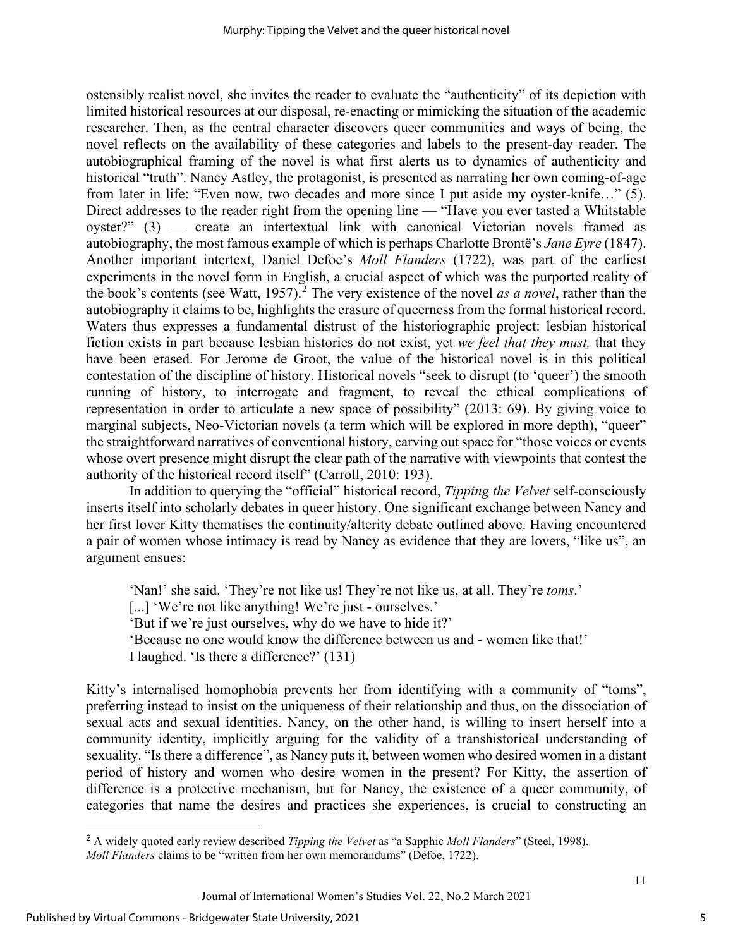ostensibly realist novel, she invites the reader to evaluate the "authenticity" of its depiction with limited historical resources at our disposal, re-enacting or mimicking the situation of the academic researcher. Then, as the central character discovers queer communities and ways of being, the novel reflects on the availability of these categories and labels to the present-day reader. The autobiographical framing of the novel is what first alerts us to dynamics of authenticity and historical "truth". Nancy Astley, the protagonist, is presented as narrating her own coming-of-age from later in life: "Even now, two decades and more since I put aside my oyster-knife…" (5). Direct addresses to the reader right from the opening line — "Have you ever tasted a Whitstable" oyster?" (3) — create an intertextual link with canonical Victorian novels framed as autobiography, the most famous example of which is perhaps Charlotte Brontë's *Jane Eyre* (1847). Another important intertext, Daniel Defoe's *Moll Flanders* (1722), was part of the earliest experiments in the novel form in English, a crucial aspect of which was the purported reality of the book's contents (see Watt, 1957).<sup>[2](#page-5-0)</sup> The very existence of the novel *as a novel*, rather than the autobiography it claims to be, highlights the erasure of queerness from the formal historical record. Waters thus expresses a fundamental distrust of the historiographic project: lesbian historical fiction exists in part because lesbian histories do not exist, yet *we feel that they must,* that they have been erased. For Jerome de Groot, the value of the historical novel is in this political contestation of the discipline of history. Historical novels "seek to disrupt (to 'queer') the smooth running of history, to interrogate and fragment, to reveal the ethical complications of representation in order to articulate a new space of possibility" (2013: 69). By giving voice to marginal subjects, Neo-Victorian novels (a term which will be explored in more depth), "queer" the straightforward narratives of conventional history, carving out space for "those voices or events whose overt presence might disrupt the clear path of the narrative with viewpoints that contest the authority of the historical record itself" (Carroll, 2010: 193).

In addition to querying the "official" historical record, *Tipping the Velvet* self-consciously inserts itself into scholarly debates in queer history. One significant exchange between Nancy and her first lover Kitty thematises the continuity/alterity debate outlined above. Having encountered a pair of women whose intimacy is read by Nancy as evidence that they are lovers, "like us", an argument ensues:

'Nan!' she said. 'They're not like us! They're not like us, at all. They're *toms*.'

[...] 'We're not like anything! We're just - ourselves.'

'But if we're just ourselves, why do we have to hide it?'

'Because no one would know the difference between us and - women like that!'

I laughed. 'Is there a difference?' (131)

Kitty's internalised homophobia prevents her from identifying with a community of "toms", preferring instead to insist on the uniqueness of their relationship and thus, on the dissociation of sexual acts and sexual identities. Nancy, on the other hand, is willing to insert herself into a community identity, implicitly arguing for the validity of a transhistorical understanding of sexuality. "Is there a difference", as Nancy puts it, between women who desired women in a distant period of history and women who desire women in the present? For Kitty, the assertion of difference is a protective mechanism, but for Nancy, the existence of a queer community, of categories that name the desires and practices she experiences, is crucial to constructing an

<span id="page-5-0"></span><sup>2</sup> A widely quoted early review described *Tipping the Velvet* as "a Sapphic *Moll Flanders*" (Steel, 1998). *Moll Flanders* claims to be "written from her own memorandums" (Defoe, 1722).

Journal of International Women's Studies Vol. 22, No.2 March 2021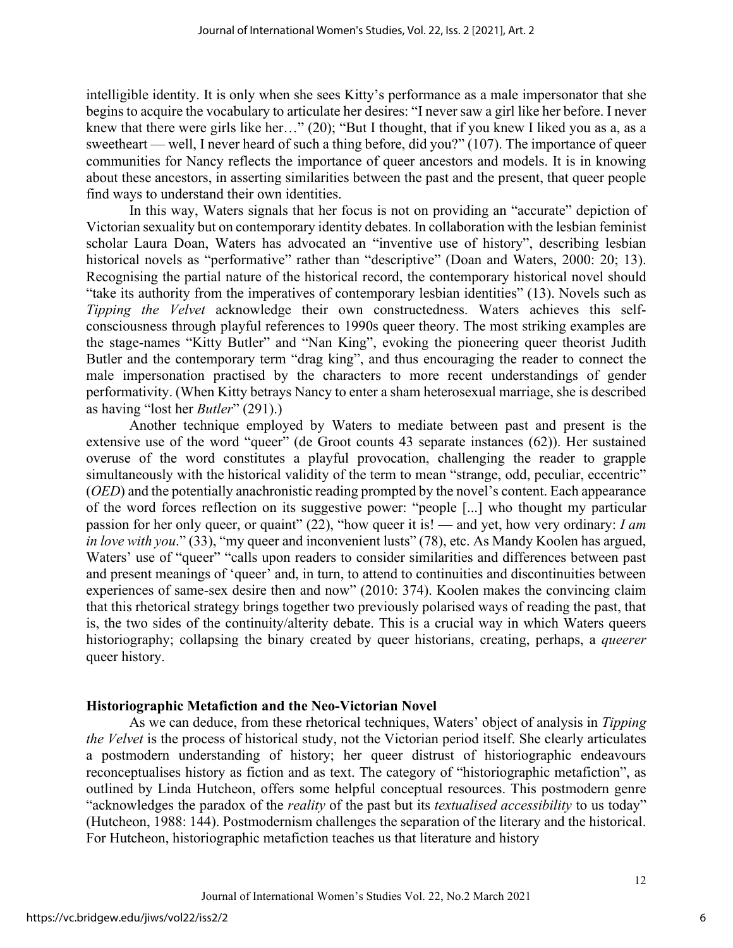intelligible identity. It is only when she sees Kitty's performance as a male impersonator that she begins to acquire the vocabulary to articulate her desires: "I never saw a girl like her before. I never knew that there were girls like her…" (20); "But I thought, that if you knew I liked you as a, as a sweetheart — well, I never heard of such a thing before, did you?" (107). The importance of queer communities for Nancy reflects the importance of queer ancestors and models. It is in knowing about these ancestors, in asserting similarities between the past and the present, that queer people find ways to understand their own identities.

In this way, Waters signals that her focus is not on providing an "accurate" depiction of Victorian sexuality but on contemporary identity debates. In collaboration with the lesbian feminist scholar Laura Doan, Waters has advocated an "inventive use of history", describing lesbian historical novels as "performative" rather than "descriptive" (Doan and Waters, 2000: 20; 13). Recognising the partial nature of the historical record, the contemporary historical novel should "take its authority from the imperatives of contemporary lesbian identities" (13). Novels such as *Tipping the Velvet* acknowledge their own constructedness. Waters achieves this selfconsciousness through playful references to 1990s queer theory. The most striking examples are the stage-names "Kitty Butler" and "Nan King", evoking the pioneering queer theorist Judith Butler and the contemporary term "drag king", and thus encouraging the reader to connect the male impersonation practised by the characters to more recent understandings of gender performativity. (When Kitty betrays Nancy to enter a sham heterosexual marriage, she is described as having "lost her *Butler*" (291).)

Another technique employed by Waters to mediate between past and present is the extensive use of the word "queer" (de Groot counts 43 separate instances (62)). Her sustained overuse of the word constitutes a playful provocation, challenging the reader to grapple simultaneously with the historical validity of the term to mean "strange, odd, peculiar, eccentric" (*OED*) and the potentially anachronistic reading prompted by the novel's content. Each appearance of the word forces reflection on its suggestive power: "people [...] who thought my particular passion for her only queer, or quaint" (22), "how queer it is! — and yet, how very ordinary: *I am in love with you.*" (33), "my queer and inconvenient lusts" (78), etc. As Mandy Koolen has argued, Waters' use of "queer" "calls upon readers to consider similarities and differences between past and present meanings of 'queer' and, in turn, to attend to continuities and discontinuities between experiences of same-sex desire then and now" (2010: 374). Koolen makes the convincing claim that this rhetorical strategy brings together two previously polarised ways of reading the past, that is, the two sides of the continuity/alterity debate. This is a crucial way in which Waters queers historiography; collapsing the binary created by queer historians, creating, perhaps, a *queerer* queer history.

## **Historiographic Metafiction and the Neo-Victorian Novel**

As we can deduce, from these rhetorical techniques, Waters' object of analysis in *Tipping the Velvet* is the process of historical study, not the Victorian period itself. She clearly articulates a postmodern understanding of history; her queer distrust of historiographic endeavours reconceptualises history as fiction and as text. The category of "historiographic metafiction", as outlined by Linda Hutcheon, offers some helpful conceptual resources. This postmodern genre "acknowledges the paradox of the *reality* of the past but its *textualised accessibility* to us today" (Hutcheon, 1988: 144). Postmodernism challenges the separation of the literary and the historical. For Hutcheon, historiographic metafiction teaches us that literature and history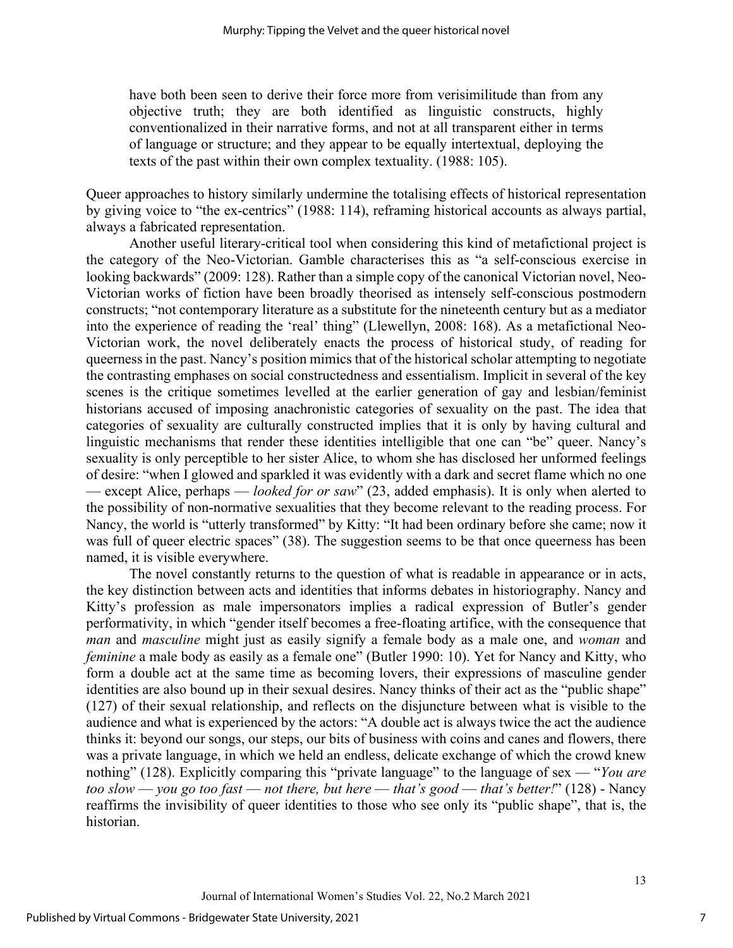have both been seen to derive their force more from verisimilitude than from any objective truth; they are both identified as linguistic constructs, highly conventionalized in their narrative forms, and not at all transparent either in terms of language or structure; and they appear to be equally intertextual, deploying the texts of the past within their own complex textuality. (1988: 105).

Queer approaches to history similarly undermine the totalising effects of historical representation by giving voice to "the ex-centrics" (1988: 114), reframing historical accounts as always partial, always a fabricated representation.

Another useful literary-critical tool when considering this kind of metafictional project is the category of the Neo-Victorian. Gamble characterises this as "a self-conscious exercise in looking backwards" (2009: 128). Rather than a simple copy of the canonical Victorian novel, Neo-Victorian works of fiction have been broadly theorised as intensely self-conscious postmodern constructs; "not contemporary literature as a substitute for the nineteenth century but as a mediator into the experience of reading the 'real' thing" (Llewellyn, 2008: 168). As a metafictional Neo-Victorian work, the novel deliberately enacts the process of historical study, of reading for queerness in the past. Nancy's position mimics that of the historical scholar attempting to negotiate the contrasting emphases on social constructedness and essentialism. Implicit in several of the key scenes is the critique sometimes levelled at the earlier generation of gay and lesbian/feminist historians accused of imposing anachronistic categories of sexuality on the past. The idea that categories of sexuality are culturally constructed implies that it is only by having cultural and linguistic mechanisms that render these identities intelligible that one can "be" queer. Nancy's sexuality is only perceptible to her sister Alice, to whom she has disclosed her unformed feelings of desire: "when I glowed and sparkled it was evidently with a dark and secret flame which no one — except Alice, perhaps — *looked for or saw*" (23, added emphasis). It is only when alerted to the possibility of non-normative sexualities that they become relevant to the reading process. For Nancy, the world is "utterly transformed" by Kitty: "It had been ordinary before she came; now it was full of queer electric spaces" (38). The suggestion seems to be that once queerness has been named, it is visible everywhere.

The novel constantly returns to the question of what is readable in appearance or in acts, the key distinction between acts and identities that informs debates in historiography. Nancy and Kitty's profession as male impersonators implies a radical expression of Butler's gender performativity, in which "gender itself becomes a free-floating artifice, with the consequence that *man* and *masculine* might just as easily signify a female body as a male one, and *woman* and *feminine* a male body as easily as a female one" (Butler 1990: 10). Yet for Nancy and Kitty, who form a double act at the same time as becoming lovers, their expressions of masculine gender identities are also bound up in their sexual desires. Nancy thinks of their act as the "public shape" (127) of their sexual relationship, and reflects on the disjuncture between what is visible to the audience and what is experienced by the actors: "A double act is always twice the act the audience thinks it: beyond our songs, our steps, our bits of business with coins and canes and flowers, there was a private language, in which we held an endless, delicate exchange of which the crowd knew nothing" (128). Explicitly comparing this "private language" to the language of sex — "*You are too slow* — *you go too fast* — *not there, but here* — *that's good* — *that's better!*" (128) - Nancy reaffirms the invisibility of queer identities to those who see only its "public shape", that is, the historian.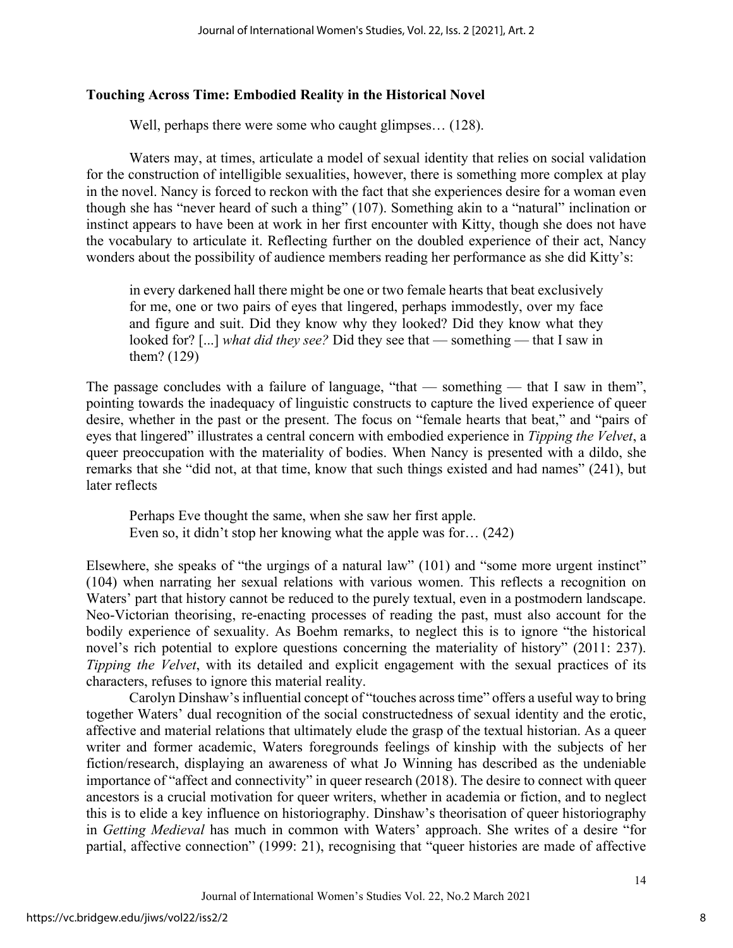# **Touching Across Time: Embodied Reality in the Historical Novel**

Well, perhaps there were some who caught glimpses... (128).

Waters may, at times, articulate a model of sexual identity that relies on social validation for the construction of intelligible sexualities, however, there is something more complex at play in the novel. Nancy is forced to reckon with the fact that she experiences desire for a woman even though she has "never heard of such a thing" (107). Something akin to a "natural" inclination or instinct appears to have been at work in her first encounter with Kitty, though she does not have the vocabulary to articulate it. Reflecting further on the doubled experience of their act, Nancy wonders about the possibility of audience members reading her performance as she did Kitty's:

in every darkened hall there might be one or two female hearts that beat exclusively for me, one or two pairs of eyes that lingered, perhaps immodestly, over my face and figure and suit. Did they know why they looked? Did they know what they looked for? [...] *what did they see?* Did they see that — something — that I saw in them? (129)

The passage concludes with a failure of language, "that — something — that I saw in them", pointing towards the inadequacy of linguistic constructs to capture the lived experience of queer desire, whether in the past or the present. The focus on "female hearts that beat," and "pairs of eyes that lingered" illustrates a central concern with embodied experience in *Tipping the Velvet*, a queer preoccupation with the materiality of bodies. When Nancy is presented with a dildo, she remarks that she "did not, at that time, know that such things existed and had names" (241), but later reflects

Perhaps Eve thought the same, when she saw her first apple. Even so, it didn't stop her knowing what the apple was for… (242)

Elsewhere, she speaks of "the urgings of a natural law" (101) and "some more urgent instinct" (104) when narrating her sexual relations with various women. This reflects a recognition on Waters' part that history cannot be reduced to the purely textual, even in a postmodern landscape. Neo-Victorian theorising, re-enacting processes of reading the past, must also account for the bodily experience of sexuality. As Boehm remarks, to neglect this is to ignore "the historical novel's rich potential to explore questions concerning the materiality of history" (2011: 237). *Tipping the Velvet*, with its detailed and explicit engagement with the sexual practices of its characters, refuses to ignore this material reality.

Carolyn Dinshaw's influential concept of "touches across time" offers a useful way to bring together Waters' dual recognition of the social constructedness of sexual identity and the erotic, affective and material relations that ultimately elude the grasp of the textual historian. As a queer writer and former academic, Waters foregrounds feelings of kinship with the subjects of her fiction/research, displaying an awareness of what Jo Winning has described as the undeniable importance of "affect and connectivity" in queer research (2018). The desire to connect with queer ancestors is a crucial motivation for queer writers, whether in academia or fiction, and to neglect this is to elide a key influence on historiography. Dinshaw's theorisation of queer historiography in *Getting Medieval* has much in common with Waters' approach. She writes of a desire "for partial, affective connection" (1999: 21), recognising that "queer histories are made of affective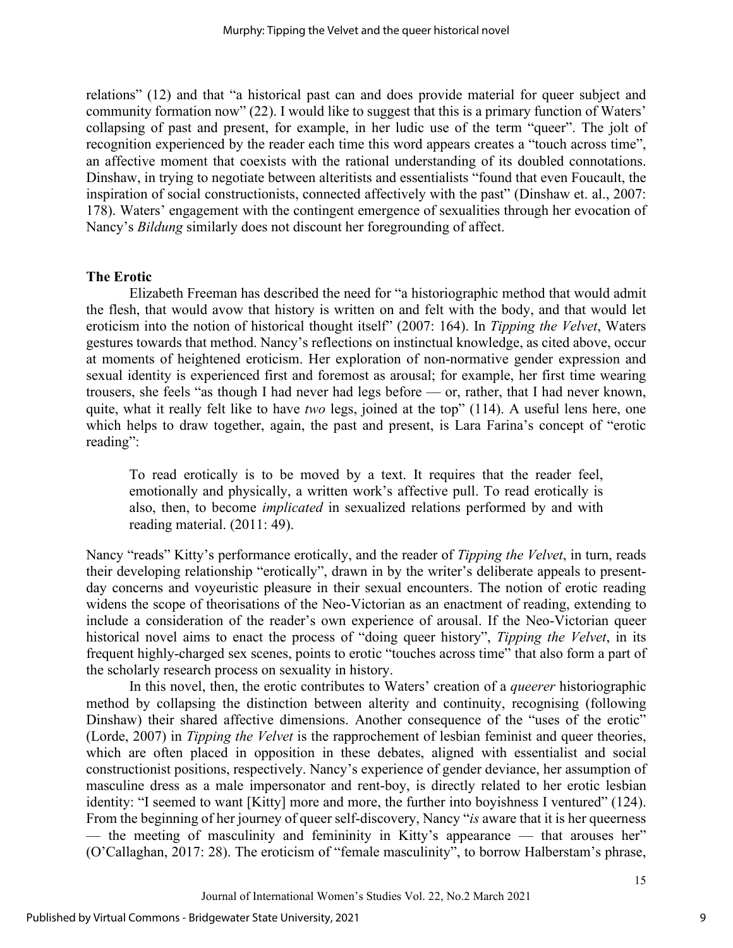relations" (12) and that "a historical past can and does provide material for queer subject and community formation now" (22). I would like to suggest that this is a primary function of Waters' collapsing of past and present, for example, in her ludic use of the term "queer". The jolt of recognition experienced by the reader each time this word appears creates a "touch across time", an affective moment that coexists with the rational understanding of its doubled connotations. Dinshaw, in trying to negotiate between alteritists and essentialists "found that even Foucault, the inspiration of social constructionists, connected affectively with the past" (Dinshaw et. al., 2007: 178). Waters' engagement with the contingent emergence of sexualities through her evocation of Nancy's *Bildung* similarly does not discount her foregrounding of affect.

#### **The Erotic**

Elizabeth Freeman has described the need for "a historiographic method that would admit the flesh, that would avow that history is written on and felt with the body, and that would let eroticism into the notion of historical thought itself" (2007: 164). In *Tipping the Velvet*, Waters gestures towards that method. Nancy's reflections on instinctual knowledge, as cited above, occur at moments of heightened eroticism. Her exploration of non-normative gender expression and sexual identity is experienced first and foremost as arousal; for example, her first time wearing trousers, she feels "as though I had never had legs before — or, rather, that I had never known, quite, what it really felt like to have *two* legs, joined at the top" (114). A useful lens here, one which helps to draw together, again, the past and present, is Lara Farina's concept of "erotic reading":

To read erotically is to be moved by a text. It requires that the reader feel, emotionally and physically, a written work's affective pull. To read erotically is also, then, to become *implicated* in sexualized relations performed by and with reading material. (2011: 49).

Nancy "reads" Kitty's performance erotically, and the reader of *Tipping the Velvet*, in turn, reads their developing relationship "erotically", drawn in by the writer's deliberate appeals to presentday concerns and voyeuristic pleasure in their sexual encounters. The notion of erotic reading widens the scope of theorisations of the Neo-Victorian as an enactment of reading, extending to include a consideration of the reader's own experience of arousal. If the Neo-Victorian queer historical novel aims to enact the process of "doing queer history", *Tipping the Velvet*, in its frequent highly-charged sex scenes, points to erotic "touches across time" that also form a part of the scholarly research process on sexuality in history.

In this novel, then, the erotic contributes to Waters' creation of a *queerer* historiographic method by collapsing the distinction between alterity and continuity, recognising (following Dinshaw) their shared affective dimensions. Another consequence of the "uses of the erotic" (Lorde, 2007) in *Tipping the Velvet* is the rapprochement of lesbian feminist and queer theories, which are often placed in opposition in these debates, aligned with essentialist and social constructionist positions, respectively. Nancy's experience of gender deviance, her assumption of masculine dress as a male impersonator and rent-boy, is directly related to her erotic lesbian identity: "I seemed to want [Kitty] more and more, the further into boyishness I ventured" (124). From the beginning of her journey of queer self-discovery, Nancy "*is* aware that it is her queerness — the meeting of masculinity and femininity in Kitty's appearance — that arouses her" (O'Callaghan, 2017: 28). The eroticism of "female masculinity", to borrow Halberstam's phrase,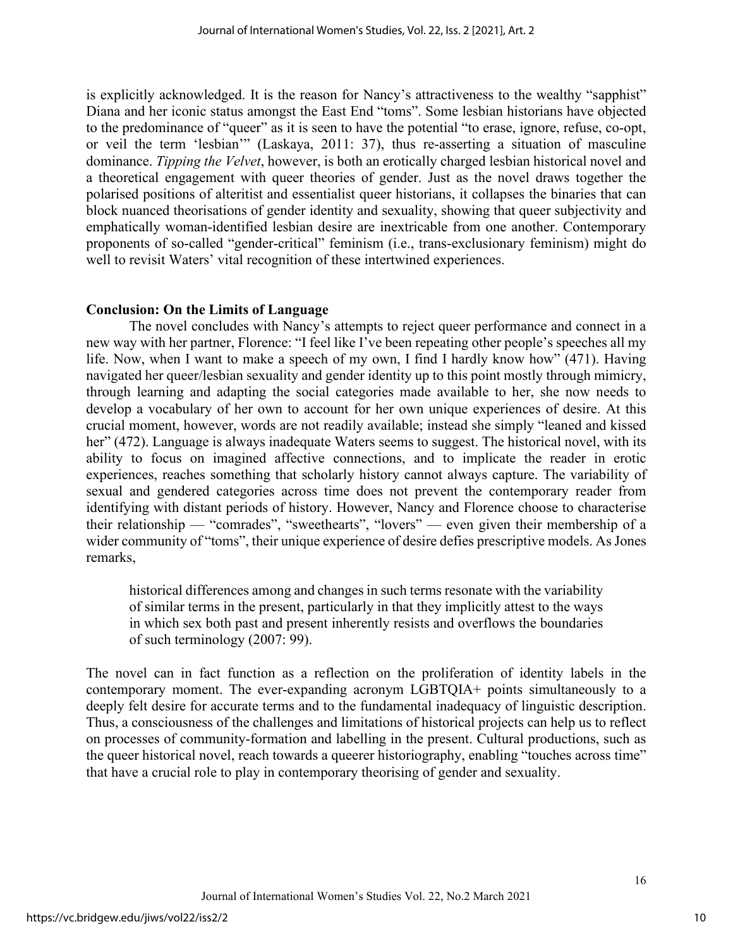is explicitly acknowledged. It is the reason for Nancy's attractiveness to the wealthy "sapphist" Diana and her iconic status amongst the East End "toms". Some lesbian historians have objected to the predominance of "queer" as it is seen to have the potential "to erase, ignore, refuse, co-opt, or veil the term 'lesbian'" (Laskaya, 2011: 37), thus re-asserting a situation of masculine dominance. *Tipping the Velvet*, however, is both an erotically charged lesbian historical novel and a theoretical engagement with queer theories of gender. Just as the novel draws together the polarised positions of alteritist and essentialist queer historians, it collapses the binaries that can block nuanced theorisations of gender identity and sexuality, showing that queer subjectivity and emphatically woman-identified lesbian desire are inextricable from one another. Contemporary proponents of so-called "gender-critical" feminism (i.e., trans-exclusionary feminism) might do well to revisit Waters' vital recognition of these intertwined experiences.

## **Conclusion: On the Limits of Language**

The novel concludes with Nancy's attempts to reject queer performance and connect in a new way with her partner, Florence: "I feel like I've been repeating other people's speeches all my life. Now, when I want to make a speech of my own, I find I hardly know how" (471). Having navigated her queer/lesbian sexuality and gender identity up to this point mostly through mimicry, through learning and adapting the social categories made available to her, she now needs to develop a vocabulary of her own to account for her own unique experiences of desire. At this crucial moment, however, words are not readily available; instead she simply "leaned and kissed her" (472). Language is always inadequate Waters seems to suggest. The historical novel, with its ability to focus on imagined affective connections, and to implicate the reader in erotic experiences, reaches something that scholarly history cannot always capture. The variability of sexual and gendered categories across time does not prevent the contemporary reader from identifying with distant periods of history. However, Nancy and Florence choose to characterise their relationship — "comrades", "sweethearts", "lovers" — even given their membership of a wider community of "toms", their unique experience of desire defies prescriptive models. As Jones remarks,

historical differences among and changes in such terms resonate with the variability of similar terms in the present, particularly in that they implicitly attest to the ways in which sex both past and present inherently resists and overflows the boundaries of such terminology (2007: 99).

The novel can in fact function as a reflection on the proliferation of identity labels in the contemporary moment. The ever-expanding acronym LGBTQIA+ points simultaneously to a deeply felt desire for accurate terms and to the fundamental inadequacy of linguistic description. Thus, a consciousness of the challenges and limitations of historical projects can help us to reflect on processes of community-formation and labelling in the present. Cultural productions, such as the queer historical novel, reach towards a queerer historiography, enabling "touches across time" that have a crucial role to play in contemporary theorising of gender and sexuality.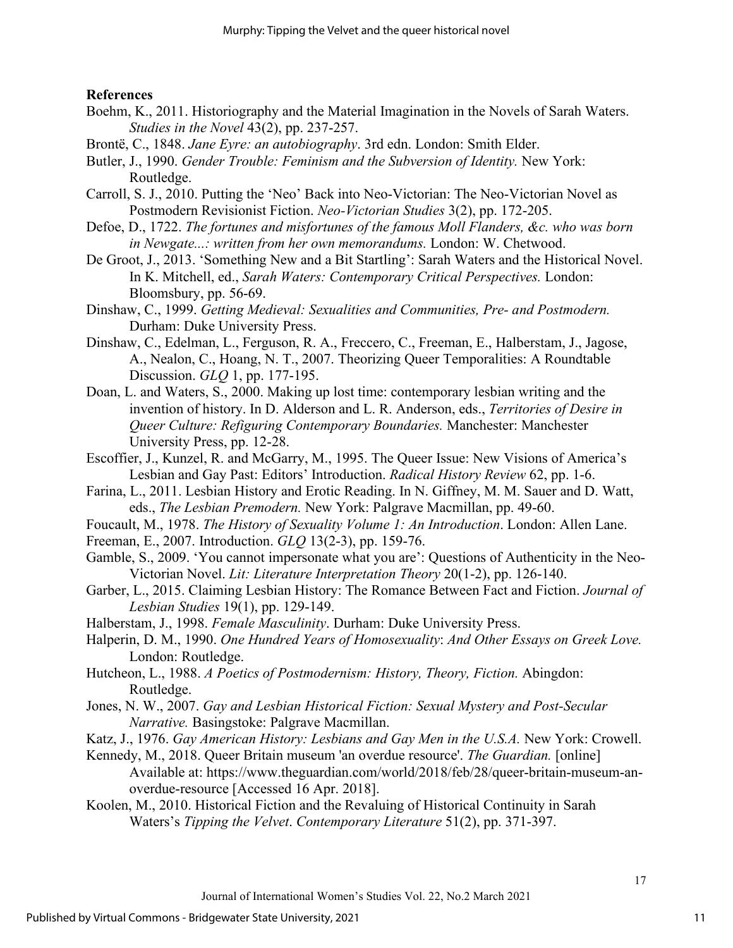## **References**

- Boehm, K., 2011. Historiography and the Material Imagination in the Novels of Sarah Waters. *Studies in the Novel* 43(2), pp. 237-257.
- Brontë, C., 1848. *Jane Eyre: an autobiography*. 3rd edn. London: Smith Elder.
- Butler, J., 1990. *Gender Trouble: Feminism and the Subversion of Identity.* New York: Routledge.
- Carroll, S. J., 2010. Putting the 'Neo' Back into Neo-Victorian: The Neo-Victorian Novel as Postmodern Revisionist Fiction. *Neo-Victorian Studies* 3(2), pp. 172-205.
- Defoe, D., 1722. *The fortunes and misfortunes of the famous Moll Flanders, &c. who was born in Newgate...: written from her own memorandums.* London: W. Chetwood.
- De Groot, J., 2013. 'Something New and a Bit Startling': Sarah Waters and the Historical Novel. In K. Mitchell, ed., *Sarah Waters: Contemporary Critical Perspectives.* London: Bloomsbury, pp. 56-69.
- Dinshaw, C., 1999. *Getting Medieval: Sexualities and Communities, Pre- and Postmodern.* Durham: Duke University Press.
- Dinshaw, C., Edelman, L., Ferguson, R. A., Freccero, C., Freeman, E., Halberstam, J., Jagose, A., Nealon, C., Hoang, N. T., 2007. Theorizing Queer Temporalities: A Roundtable Discussion. *GLQ* 1, pp. 177-195.
- Doan, L. and Waters, S., 2000. Making up lost time: contemporary lesbian writing and the invention of history. In D. Alderson and L. R. Anderson, eds., *Territories of Desire in Queer Culture: Refiguring Contemporary Boundaries.* Manchester: Manchester University Press, pp. 12-28.
- Escoffier, J., Kunzel, R. and McGarry, M., 1995. The Queer Issue: New Visions of America's Lesbian and Gay Past: Editors' Introduction. *Radical History Review* 62, pp. 1-6.
- Farina, L., 2011. Lesbian History and Erotic Reading. In N. Giffney, M. M. Sauer and D. Watt, eds., *The Lesbian Premodern.* New York: Palgrave Macmillan, pp. 49-60.
- Foucault, M., 1978. *The History of Sexuality Volume 1: An Introduction*. London: Allen Lane.
- Freeman, E., 2007. Introduction. *GLQ* 13(2-3), pp. 159-76.
- Gamble, S., 2009. 'You cannot impersonate what you are': Questions of Authenticity in the Neo-Victorian Novel. *Lit: Literature Interpretation Theory* 20(1-2), pp. 126-140.
- Garber, L., 2015. Claiming Lesbian History: The Romance Between Fact and Fiction. *Journal of Lesbian Studies* 19(1), pp. 129-149.
- Halberstam, J., 1998. *Female Masculinity*. Durham: Duke University Press.
- Halperin, D. M., 1990. *One Hundred Years of Homosexuality*: *And Other Essays on Greek Love.*  London: Routledge.
- Hutcheon, L., 1988. *A Poetics of Postmodernism: History, Theory, Fiction.* Abingdon: Routledge.
- Jones, N. W., 2007. *Gay and Lesbian Historical Fiction: Sexual Mystery and Post-Secular Narrative.* Basingstoke: Palgrave Macmillan.
- Katz, J., 1976. *Gay American History: Lesbians and Gay Men in the U.S.A.* New York: Crowell.
- Kennedy, M., 2018. Queer Britain museum 'an overdue resource'. *The Guardian.* [online] Available at: https://www.theguardian.com/world/2018/feb/28/queer-britain-museum-anoverdue-resource [Accessed 16 Apr. 2018].
- Koolen, M., 2010. Historical Fiction and the Revaluing of Historical Continuity in Sarah Waters's *Tipping the Velvet*. *Contemporary Literature* 51(2), pp. 371-397.